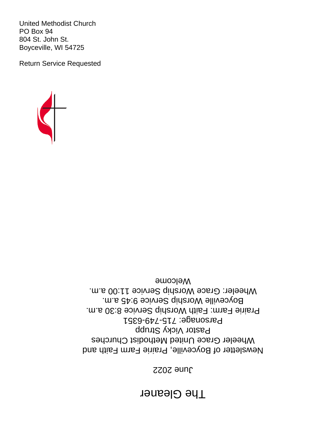# **The Gleaner**

#### June 2022

Newsletter of Boyceville, Prairie Farm Faith and Wheeler Grace United Methodist Churches Pastor Vicky Strupp Parsonage: 715-749-6351 Prairie Farm: Faith Worship Service 8:30 a.m. Boyceville Worship Service 9:45 a.m. Wheeler: Grace Worship Service 11:00 a.m. Welcome



United Methodist Church PO Box 94 804 St. John St. Boyceville, WI 54725

Return Service Requested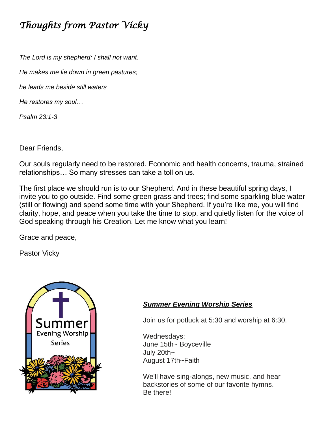## *Thoughts from Pastor Vicky*

*The Lord is my shepherd; I shall not want.*

*He makes me lie down in green pastures;*

*he leads me beside still waters*

*He restores my soul…*

*Psalm 23:1-3*

Dear Friends,

Our souls regularly need to be restored. Economic and health concerns, trauma, strained relationships… So many stresses can take a toll on us.

The first place we should run is to our Shepherd. And in these beautiful spring days, I invite you to go outside. Find some green grass and trees; find some sparkling blue water (still or flowing) and spend some time with your Shepherd. If you're like me, you will find clarity, hope, and peace when you take the time to stop, and quietly listen for the voice of God speaking through his Creation. Let me know what you learn!

Grace and peace,

Pastor Vicky



#### *Summer Evening Worship Series*

Join us for potluck at 5:30 and worship at 6:30.

Wednesdays: June 15th~ Boyceville July 20th~ August 17th~Faith

We'll have sing-alongs, new music, and hear backstories of some of our favorite hymns. Be there!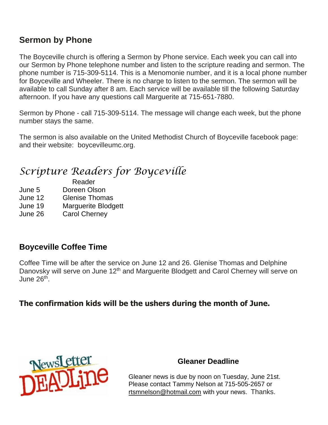#### **Sermon by Phone**

The Boyceville church is offering a Sermon by Phone service. Each week you can call into our Sermon by Phone telephone number and listen to the scripture reading and sermon. The phone number is 715-309-5114. This is a Menomonie number, and it is a local phone number for Boyceville and Wheeler. There is no charge to listen to the sermon. The sermon will be available to call Sunday after 8 am. Each service will be available till the following Saturday afternoon. If you have any questions call Marguerite at 715-651-7880.

Sermon by Phone - call 715-309-5114. The message will change each week, but the phone number stays the same.

The sermon is also available on the United Methodist Church of Boyceville facebook page: and their website: boycevilleumc.org.

# *Scripture Readers for Boyceville*

- Reader June 5 Doreen Olson
- June 12 Glenise Thomas
- June 19 Marguerite Blodgett
- June 26 Carol Cherney

## **Boyceville Coffee Time**

Coffee Time will be after the service on June 12 and 26. Glenise Thomas and Delphine Danovsky will serve on June 12<sup>th</sup> and Marguerite Blodgett and Carol Cherney will serve on June 26<sup>th</sup>.

**The confirmation kids will be the ushers during the month of June.**



#### **Gleaner Deadline**

Gleaner news is due by noon on Tuesday, June 21st. Please contact Tammy Nelson at 715-505-2657 or [rtsmnelson@hotmail.com](mailto:rtsmnelson@hotmail.com) with your news. Thanks.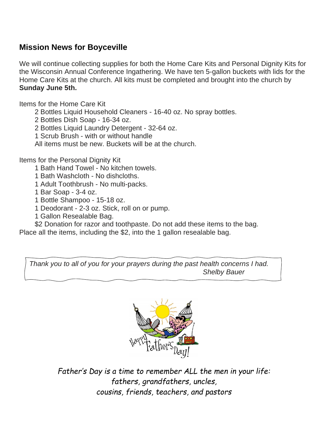#### **Mission News for Boyceville**

We will continue collecting supplies for both the Home Care Kits and Personal Dignity Kits for the Wisconsin Annual Conference Ingathering. We have ten 5-gallon buckets with lids for the Home Care Kits at the church. All kits must be completed and brought into the church by **Sunday June 5th.**

Items for the Home Care Kit

2 Bottles Liquid Household Cleaners - 16-40 oz. No spray bottles.

2 Bottles Dish Soap - 16-34 oz.

2 Bottles Liquid Laundry Detergent - 32-64 oz.

1 Scrub Brush - with or without handle

All items must be new. Buckets will be at the church.

Items for the Personal Dignity Kit

1 Bath Hand Towel - No kitchen towels.

1 Bath Washcloth - No dishcloths.

1 Adult Toothbrush - No multi-packs.

1 Bar Soap - 3-4 oz.

1 Bottle Shampoo - 15-18 oz.

1 Deodorant - 2-3 oz. Stick, roll on or pump.

1 Gallon Resealable Bag.

 \$2 Donation for razor and toothpaste. Do not add these items to the bag. Place all the items, including the \$2, into the 1 gallon resealable bag.

*Thank you to all of you for your prayers during the past health concerns I had. Shelby Bauer*



*Father's Day is a time to remember ALL the men in your life: fathers, grandfathers, uncles, cousins, friends, teachers, and pastors*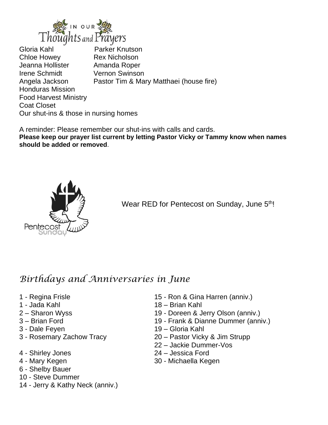

Gloria Kahl Parker Knutson Chloe Howey Rex Nicholson Jeanna Hollister **Amanda Roper** Irene Schmidt Vernon Swinson Angela Jackson Pastor Tim & Mary Matthaei (house fire) Honduras Mission Food Harvest Ministry Coat Closet Our shut-ins & those in nursing homes

A reminder: Please remember our shut-ins with calls and cards. **Please keep our prayer list current by letting Pastor Vicky or Tammy know when names should be added or removed**.



Wear RED for Pentecost on Sunday, June 5<sup>th!</sup>

## *Birthdays and Anniversaries in June*

- 
- 
- 
- 
- 
- 
- 
- 
- 6 Shelby Bauer
- 10 Steve Dummer
- 14 Jerry & Kathy Neck (anniv.)
- 1 Regina Frisle 15 Ron & Gina Harren (anniv.)
- 1 Jada Kahl 18 Brian Kahl
- 2 Sharon Wyss 19 Doreen & Jerry Olson (anniv.)
- 3 Brian Ford 19 Frank & Dianne Dummer (anniv.)
- 3 Dale Feyen 19 Gloria Kahl
- 3 Rosemary Zachow Tracy 20 Pastor Vicky & Jim Strupp
	- 22 Jackie Dummer-Vos
- 4 Shirley Jones 24 Jessica Ford
- 4 Mary Kegen 30 Michaella Kegen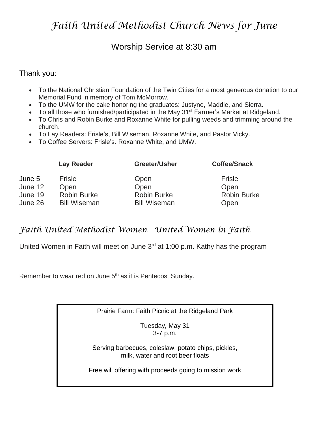## *Faith United Methodist Church News for June*

#### Worship Service at 8:30 am

#### Thank you:

- To the National Christian Foundation of the Twin Cities for a most generous donation to our Memorial Fund in memory of Tom McMorrow.
- To the UMW for the cake honoring the graduates: Justyne, Maddie, and Sierra.
- To all those who furnished/participated in the May 31<sup>st</sup> Farmer's Market at Ridgeland.
- To Chris and Robin Burke and Roxanne White for pulling weeds and trimming around the church.
- To Lay Readers: Frisle's, Bill Wiseman, Roxanne White, and Pastor Vicky.
- To Coffee Servers: Frisle's. Roxanne White, and UMW.

|                                         | <b>Lay Reader</b>                                           | Greeter/Usher                                             | <b>Coffee/Snack</b>                          |
|-----------------------------------------|-------------------------------------------------------------|-----------------------------------------------------------|----------------------------------------------|
| June 5<br>June 12<br>June 19<br>June 26 | Frisle<br>Open<br><b>Robin Burke</b><br><b>Bill Wiseman</b> | Open<br>Open<br><b>Robin Burke</b><br><b>Bill Wiseman</b> | Frisle<br>Open<br><b>Robin Burke</b><br>Open |
|                                         |                                                             |                                                           |                                              |

## *Faith United Methodist Women - United Women in Faith*

United Women in Faith will meet on June 3<sup>rd</sup> at 1:00 p.m. Kathy has the program

Remember to wear red on June 5<sup>th</sup> as it is Pentecost Sunday.

Prairie Farm: Faith Picnic at the Ridgeland Park

Tuesday, May 31 3-7 p.m.

Serving barbecues, coleslaw, potato chips, pickles, milk, water and root beer floats

Free will offering with proceeds going to mission work